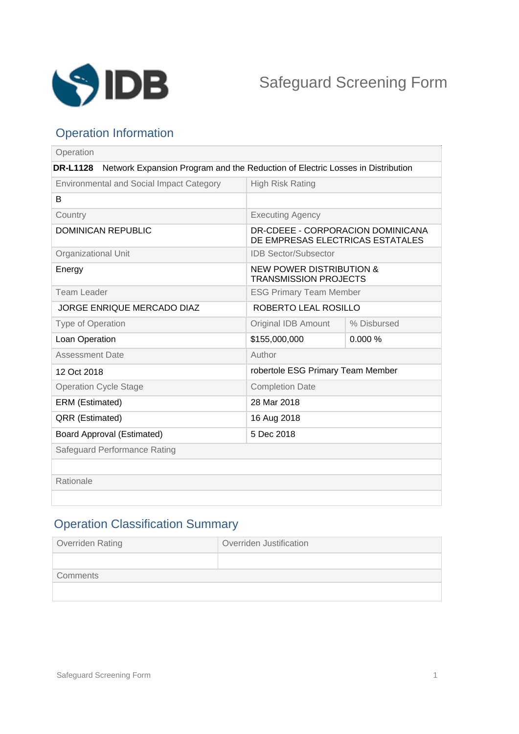

# Operation Information

| Operation                                                                                         |                                                                       |             |
|---------------------------------------------------------------------------------------------------|-----------------------------------------------------------------------|-------------|
| <b>DR-L1128</b><br>Network Expansion Program and the Reduction of Electric Losses in Distribution |                                                                       |             |
| <b>Environmental and Social Impact Category</b>                                                   | <b>High Risk Rating</b>                                               |             |
| B                                                                                                 |                                                                       |             |
| Country                                                                                           | <b>Executing Agency</b>                                               |             |
| <b>DOMINICAN REPUBLIC</b>                                                                         | DR-CDEEE - CORPORACION DOMINICANA<br>DE EMPRESAS ELECTRICAS ESTATALES |             |
| <b>Organizational Unit</b>                                                                        | <b>IDB Sector/Subsector</b>                                           |             |
| Energy                                                                                            | <b>NEW POWER DISTRIBUTION &amp;</b><br><b>TRANSMISSION PROJECTS</b>   |             |
| Team Leader                                                                                       | <b>ESG Primary Team Member</b>                                        |             |
| <b>JORGE ENRIQUE MERCADO DIAZ</b>                                                                 | ROBERTO LEAL ROSILLO                                                  |             |
| <b>Type of Operation</b>                                                                          | <b>Original IDB Amount</b>                                            | % Disbursed |
| Loan Operation                                                                                    | \$155,000,000                                                         | 0.000%      |
| <b>Assessment Date</b>                                                                            | Author                                                                |             |
| 12 Oct 2018                                                                                       | robertole ESG Primary Team Member                                     |             |
| <b>Operation Cycle Stage</b>                                                                      | <b>Completion Date</b>                                                |             |
| ERM (Estimated)                                                                                   | 28 Mar 2018                                                           |             |
| <b>QRR (Estimated)</b>                                                                            | 16 Aug 2018                                                           |             |
| <b>Board Approval (Estimated)</b>                                                                 | 5 Dec 2018                                                            |             |
| Safeguard Performance Rating                                                                      |                                                                       |             |
|                                                                                                   |                                                                       |             |
| Rationale                                                                                         |                                                                       |             |
|                                                                                                   |                                                                       |             |

# Operation Classification Summary

| Overriden Rating | Overriden Justification |
|------------------|-------------------------|
|                  |                         |
| Comments         |                         |
|                  |                         |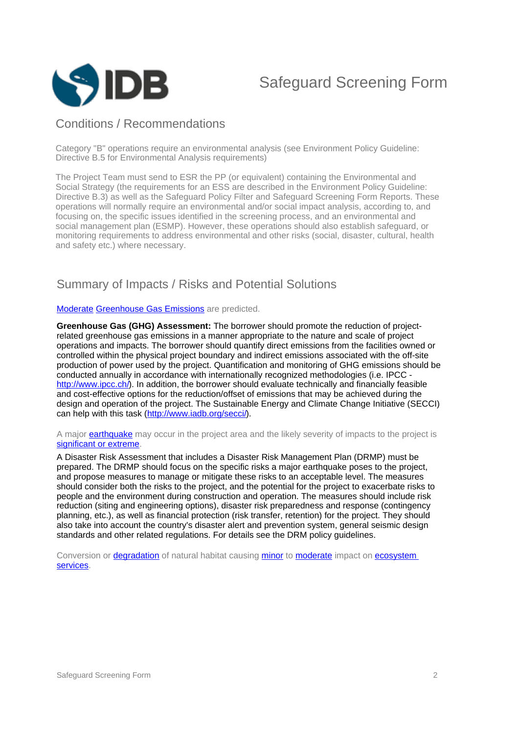

### Conditions / Recommendations

Category "B" operations require an environmental analysis (see Environment Policy Guideline: Directive B.5 for Environmental Analysis requirements)

The Project Team must send to ESR the PP (or equivalent) containing the Environmental and Social Strategy (the requirements for an ESS are described in the Environment Policy Guideline: Directive B.3) as well as the Safeguard Policy Filter and Safeguard Screening Form Reports. These operations will normally require an environmental and/or social impact analysis, according to, and focusing on, the specific issues identified in the screening process, and an environmental and social management plan (ESMP). However, these operations should also establish safeguard, or monitoring requirements to address environmental and other risks (social, disaster, cultural, health and safety etc.) where necessary.

### Summary of Impacts / Risks and Potential Solutions

#### [Moderate](javascript:ShowTerm() [Greenhouse Gas Emissions](javascript:ShowTerm() are predicted.

**Greenhouse Gas (GHG) Assessment:** The borrower should promote the reduction of projectrelated greenhouse gas emissions in a manner appropriate to the nature and scale of project operations and impacts. The borrower should quantify direct emissions from the facilities owned or controlled within the physical project boundary and indirect emissions associated with the off-site production of power used by the project. Quantification and monitoring of GHG emissions should be conducted annually in accordance with internationally recognized methodologies (i.e. IPCC [http://www.ipcc.ch/\)](http://www.ipcc.ch/). In addition, the borrower should evaluate technically and financially feasible and cost-effective options for the reduction/offset of emissions that may be achieved during the design and operation of the project. The Sustainable Energy and Climate Change Initiative (SECCI) can help with this task (<http://www.iadb.org/secci/>).

#### A major **earthquake** may occur in the project area and the likely severity of impacts to the project is [significant or extreme](javascript:ShowTerm().

A Disaster Risk Assessment that includes a Disaster Risk Management Plan (DRMP) must be prepared. The DRMP should focus on the specific risks a major earthquake poses to the project, and propose measures to manage or mitigate these risks to an acceptable level. The measures should consider both the risks to the project, and the potential for the project to exacerbate risks to people and the environment during construction and operation. The measures should include risk reduction (siting and engineering options), disaster risk preparedness and response (contingency planning, etc.), as well as financial protection (risk transfer, retention) for the project. They should also take into account the country's disaster alert and prevention system, general seismic design standards and other related regulations. For details see the DRM policy guidelines.

Conversion or **degradation** of natural habitat causing [minor](javascript:ShowTerm() to [moderate](javascript:ShowTerm() impact on ecosystem [services.](javascript:ShowTerm()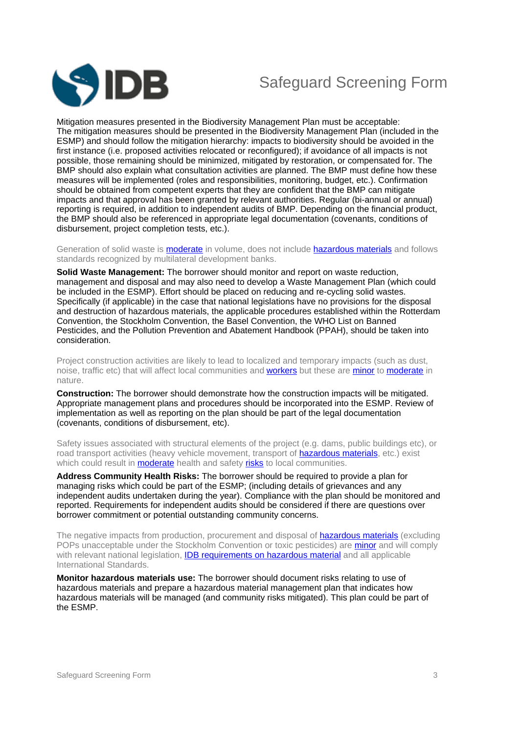

# Safeguard Screening Form

Mitigation measures presented in the Biodiversity Management Plan must be acceptable: The mitigation measures should be presented in the Biodiversity Management Plan (included in the ESMP) and should follow the mitigation hierarchy: impacts to biodiversity should be avoided in the first instance (i.e. proposed activities relocated or reconfigured); if avoidance of all impacts is not possible, those remaining should be minimized, mitigated by restoration, or compensated for. The BMP should also explain what consultation activities are planned. The BMP must define how these measures will be implemented (roles and responsibilities, monitoring, budget, etc.). Confirmation should be obtained from competent experts that they are confident that the BMP can mitigate impacts and that approval has been granted by relevant authorities. Regular (bi-annual or annual) reporting is required, in addition to independent audits of BMP. Depending on the financial product, the BMP should also be referenced in appropriate legal documentation (covenants, conditions of disbursement, project completion tests, etc.).

Generation of solid waste is **moderate** in volume, does not include **hazardous materials** and follows standards recognized by multilateral development banks.

**Solid Waste Management:** The borrower should monitor and report on waste reduction, management and disposal and may also need to develop a Waste Management Plan (which could be included in the ESMP). Effort should be placed on reducing and re-cycling solid wastes. Specifically (if applicable) in the case that national legislations have no provisions for the disposal and destruction of hazardous materials, the applicable procedures established within the Rotterdam Convention, the Stockholm Convention, the Basel Convention, the WHO List on Banned Pesticides, and the Pollution Prevention and Abatement Handbook (PPAH), should be taken into consideration.

Project construction activities are likely to lead to localized and temporary impacts (such as dust, noise, traffic etc) that will affect local communities and [workers](javascript:ShowTerm() but these are [minor](javascript:ShowTerm() to [moderate](javascript:ShowTerm() in nature.

**Construction:** The borrower should demonstrate how the construction impacts will be mitigated. Appropriate management plans and procedures should be incorporated into the ESMP. Review of implementation as well as reporting on the plan should be part of the legal documentation (covenants, conditions of disbursement, etc).

Safety issues associated with structural elements of the project (e.g. dams, public buildings etc), or road transport activities (heavy vehicle movement, transport of **hazardous materials**, etc.) exist which could result in **[moderate](javascript:ShowTerm()** health and safety [risks](javascript:ShowTerm() to local communities.

**Address Community Health Risks:** The borrower should be required to provide a plan for managing risks which could be part of the ESMP; (including details of grievances and any independent audits undertaken during the year). Compliance with the plan should be monitored and reported. Requirements for independent audits should be considered if there are questions over borrower commitment or potential outstanding community concerns.

The negative impacts from production, procurement and disposal of **hazardous materials** (excluding POPs unacceptable under the Stockholm Convention or toxic pesticides) are [minor](javascript:ShowTerm() and will comply with relevant national legislation, **[IDB requirements on hazardous material](javascript:ShowTerm()** and all applicable International Standards.

**Monitor hazardous materials use:** The borrower should document risks relating to use of hazardous materials and prepare a hazardous material management plan that indicates how hazardous materials will be managed (and community risks mitigated). This plan could be part of the ESMP.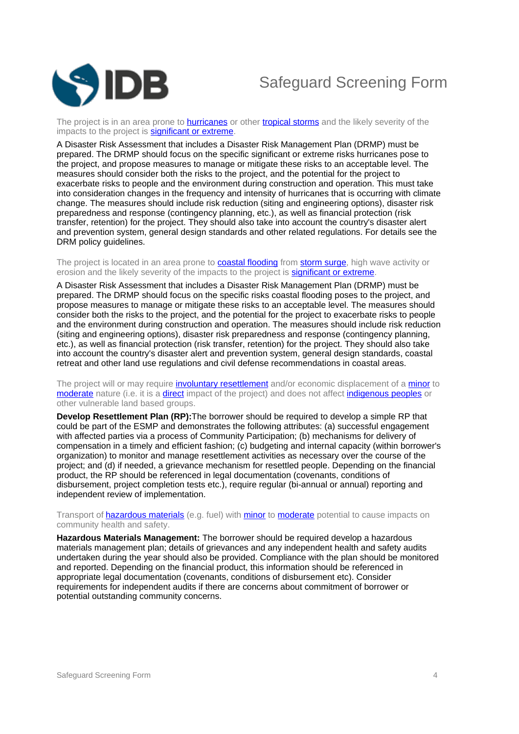

The project is in an area prone to **[hurricanes](javascript:ShowTerm()** or other [tropical storms](javascript:ShowTerm() and the likely severity of the impacts to the project is [significant or extreme.](javascript:ShowTerm()

A Disaster Risk Assessment that includes a Disaster Risk Management Plan (DRMP) must be prepared. The DRMP should focus on the specific significant or extreme risks hurricanes pose to the project, and propose measures to manage or mitigate these risks to an acceptable level. The measures should consider both the risks to the project, and the potential for the project to exacerbate risks to people and the environment during construction and operation. This must take into consideration changes in the frequency and intensity of hurricanes that is occurring with climate change. The measures should include risk reduction (siting and engineering options), disaster risk preparedness and response (contingency planning, etc.), as well as financial protection (risk transfer, retention) for the project. They should also take into account the country's disaster alert and prevention system, general design standards and other related regulations. For details see the DRM policy guidelines.

The project is located in an area prone to **coastal flooding** from **[storm surge](javascript:ShowTerm()**, high wave activity or erosion and the likely severity of the impacts to the project is **[significant or extreme.](javascript:ShowTerm()** 

A Disaster Risk Assessment that includes a Disaster Risk Management Plan (DRMP) must be prepared. The DRMP should focus on the specific risks coastal flooding poses to the project, and propose measures to manage or mitigate these risks to an acceptable level. The measures should consider both the risks to the project, and the potential for the project to exacerbate risks to people and the environment during construction and operation. The measures should include risk reduction (siting and engineering options), disaster risk preparedness and response (contingency planning, etc.), as well as financial protection (risk transfer, retention) for the project. They should also take into account the country's disaster alert and prevention system, general design standards, coastal retreat and other land use regulations and civil defense recommendations in coastal areas.

The project will or may require [involuntary resettlement](javascript:ShowTerm() and/or economic displacement of a [minor](javascript:ShowTerm() to [moderate](javascript:ShowTerm() nature (i.e. it is a [direct](javascript:ShowTerm() impact of the project) and does not affect [indigenous peoples](javascript:ShowTerm() or other vulnerable land based groups.

**Develop Resettlement Plan (RP):**The borrower should be required to develop a simple RP that could be part of the ESMP and demonstrates the following attributes: (a) successful engagement with affected parties via a process of Community Participation; (b) mechanisms for delivery of compensation in a timely and efficient fashion; (c) budgeting and internal capacity (within borrower's organization) to monitor and manage resettlement activities as necessary over the course of the project; and (d) if needed, a grievance mechanism for resettled people. Depending on the financial product, the RP should be referenced in legal documentation (covenants, conditions of disbursement, project completion tests etc.), require regular (bi-annual or annual) reporting and independent review of implementation.

Transport of [hazardous materials](javascript:ShowTerm() (e.g. fuel) with [minor](javascript:ShowTerm() to [moderate](javascript:ShowTerm() potential to cause impacts on community health and safety.

**Hazardous Materials Management:** The borrower should be required develop a hazardous materials management plan; details of grievances and any independent health and safety audits undertaken during the year should also be provided. Compliance with the plan should be monitored and reported. Depending on the financial product, this information should be referenced in appropriate legal documentation (covenants, conditions of disbursement etc). Consider requirements for independent audits if there are concerns about commitment of borrower or potential outstanding community concerns.